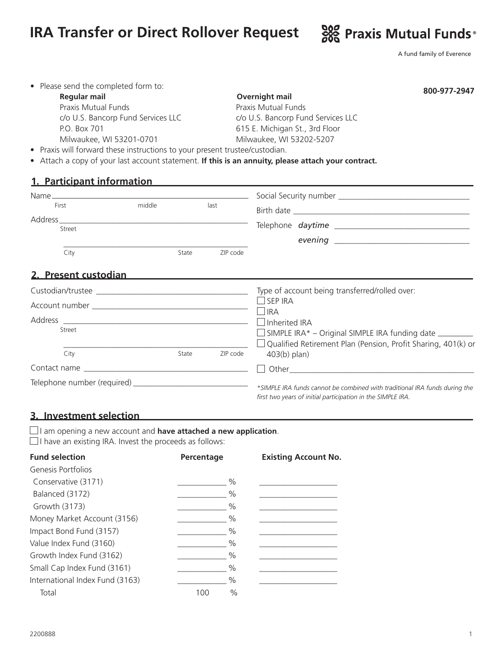# **IRA Transfer or Direct Rollover Request**  $\frac{900}{600}$  Praxis Mutual Funds<sup>®</sup>



A fund family of Everence

| <b>Regular mail</b>                | Overnight mail                     | 800-977-2947 |
|------------------------------------|------------------------------------|--------------|
| Praxis Mutual Funds                | Praxis Mutual Funds                |              |
| c/o U.S. Bancorp Fund Services LLC | c/o U.S. Bancorp Fund Services LLC |              |
| P.O. Box 701                       | 615 E. Michigan St., 3rd Floor     |              |
| Milwaukee, WI 53201-0701           | Milwaukee, WI 53202-5207           |              |

• Attach a copy of your last account statement. **If this is an annuity, please attach your contract.** 

# **1. Participant information**

| Name and the state of the state of the state of the state of the state of the state of the state of the state of the state of the state of the state of the state of the state of the state of the state of the state of the s |        |       |          |                                                                                                                                                                                |  |
|--------------------------------------------------------------------------------------------------------------------------------------------------------------------------------------------------------------------------------|--------|-------|----------|--------------------------------------------------------------------------------------------------------------------------------------------------------------------------------|--|
| First                                                                                                                                                                                                                          | middle |       | last     |                                                                                                                                                                                |  |
| Address_<br>Street                                                                                                                                                                                                             |        |       |          |                                                                                                                                                                                |  |
| City                                                                                                                                                                                                                           |        | State | ZIP code |                                                                                                                                                                                |  |
| 2. Present custodian                                                                                                                                                                                                           |        |       |          |                                                                                                                                                                                |  |
|                                                                                                                                                                                                                                |        |       |          | Type of account being transferred/rolled over:                                                                                                                                 |  |
|                                                                                                                                                                                                                                |        |       |          | $\Box$ SEP IRA<br>$\Box$ IRA<br>Inherited IRA<br>$\Box$ SIMPLE IRA* – Original SIMPLE IRA funding date $\Box$<br>Qualified Retirement Plan (Pension, Profit Sharing, 401(k) or |  |
|                                                                                                                                                                                                                                |        |       |          |                                                                                                                                                                                |  |
| Street                                                                                                                                                                                                                         |        |       |          |                                                                                                                                                                                |  |
| City                                                                                                                                                                                                                           |        | State | ZIP code | $403(b)$ plan)                                                                                                                                                                 |  |
|                                                                                                                                                                                                                                |        |       |          |                                                                                                                                                                                |  |
|                                                                                                                                                                                                                                |        |       |          | *SIMPLE IRA funds cannot be combined with traditional IRA funds during the<br>first two years of initial participation in the SIMPLE IRA.                                      |  |

## **3. Investment selection**

I am opening a new account and **have attached a new application**.

 $\Box$  I have an existing IRA. Invest the proceeds as follows:

| Percentage  | <b>Existing Account No.</b> |
|-------------|-----------------------------|
|             |                             |
| $\%$        |                             |
| $\%$        |                             |
| $\%$        |                             |
| $\%$        |                             |
| $\%$        |                             |
| $\%$        |                             |
| $\%$        |                             |
| $\%$        |                             |
| $\%$        |                             |
| $\%$<br>100 |                             |
|             |                             |